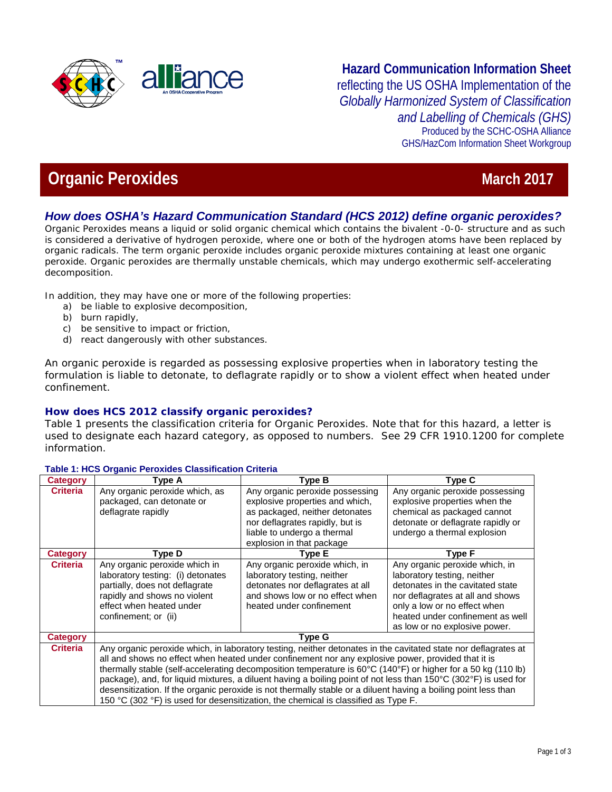

# **Hazard Communication Information Sheet**  reflecting the US OSHA Implementation of the *Globally Harmonized System of Classification and Labelling of Chemicals (GHS)*

Produced by the SCHC-OSHA Alliance GHS/HazCom Information Sheet Workgroup

# **Organic Peroxides March 2017 March 2017**

## *How does OSHA's Hazard Communication Standard (HCS 2012) define organic peroxides?*

Organic Peroxides means a liquid or solid organic chemical which contains the bivalent -0-0- structure and as such is considered a derivative of hydrogen peroxide, where one or both of the hydrogen atoms have been replaced by organic radicals. The term organic peroxide includes organic peroxide mixtures containing at least one organic peroxide. Organic peroxides are thermally unstable chemicals, which may undergo exothermic self-accelerating decomposition.

In addition, they may have one or more of the following properties:

- a) be liable to explosive decomposition,
- b) burn rapidly,
- c) be sensitive to impact or friction,
- d) react dangerously with other substances.

An organic peroxide is regarded as possessing explosive properties when in laboratory testing the formulation is liable to detonate, to deflagrate rapidly or to show a violent effect when heated under confinement.

### **How does HCS 2012 classify organic peroxides?**

Table 1 presents the classification criteria for Organic Peroxides. Note that for this hazard, a letter is used to designate each hazard category, as opposed to numbers. See 29 CFR 1910.1200 for complete information.

#### **Table 1: HCS Organic Peroxides Classification Criteria**

| <b>Category</b> | Type A                                                                                                                                                                                                                                                                                                                                                                                                                                                                                                                                                                                                                                                          | Type B                                                                                                                                                                                              | <b>Type C</b>                                                                                                                                                                                                                              |
|-----------------|-----------------------------------------------------------------------------------------------------------------------------------------------------------------------------------------------------------------------------------------------------------------------------------------------------------------------------------------------------------------------------------------------------------------------------------------------------------------------------------------------------------------------------------------------------------------------------------------------------------------------------------------------------------------|-----------------------------------------------------------------------------------------------------------------------------------------------------------------------------------------------------|--------------------------------------------------------------------------------------------------------------------------------------------------------------------------------------------------------------------------------------------|
| <b>Criteria</b> | Any organic peroxide which, as<br>packaged, can detonate or<br>deflagrate rapidly                                                                                                                                                                                                                                                                                                                                                                                                                                                                                                                                                                               | Any organic peroxide possessing<br>explosive properties and which.<br>as packaged, neither detonates<br>nor deflagrates rapidly, but is<br>liable to undergo a thermal<br>explosion in that package | Any organic peroxide possessing<br>explosive properties when the<br>chemical as packaged cannot<br>detonate or deflagrate rapidly or<br>undergo a thermal explosion                                                                        |
| <b>Category</b> | Type D                                                                                                                                                                                                                                                                                                                                                                                                                                                                                                                                                                                                                                                          | Type E                                                                                                                                                                                              | Type F                                                                                                                                                                                                                                     |
| <b>Criteria</b> | Any organic peroxide which in<br>laboratory testing: (i) detonates<br>partially, does not deflagrate<br>rapidly and shows no violent<br>effect when heated under<br>confinement; or (ii)                                                                                                                                                                                                                                                                                                                                                                                                                                                                        | Any organic peroxide which, in<br>laboratory testing, neither<br>detonates nor deflagrates at all<br>and shows low or no effect when<br>heated under confinement                                    | Any organic peroxide which, in<br>laboratory testing, neither<br>detonates in the cavitated state<br>nor deflagrates at all and shows<br>only a low or no effect when<br>heated under confinement as well<br>as low or no explosive power. |
| <b>Category</b> | <b>Type G</b>                                                                                                                                                                                                                                                                                                                                                                                                                                                                                                                                                                                                                                                   |                                                                                                                                                                                                     |                                                                                                                                                                                                                                            |
| <b>Criteria</b> | Any organic peroxide which, in laboratory testing, neither detonates in the cavitated state nor deflagrates at<br>all and shows no effect when heated under confinement nor any explosive power, provided that it is<br>thermally stable (self-accelerating decomposition temperature is 60°C (140°F) or higher for a 50 kg (110 lb)<br>package), and, for liquid mixtures, a diluent having a boiling point of not less than 150°C (302°F) is used for<br>desensitization. If the organic peroxide is not thermally stable or a diluent having a boiling point less than<br>150 °C (302 °F) is used for desensitization, the chemical is classified as Type F. |                                                                                                                                                                                                     |                                                                                                                                                                                                                                            |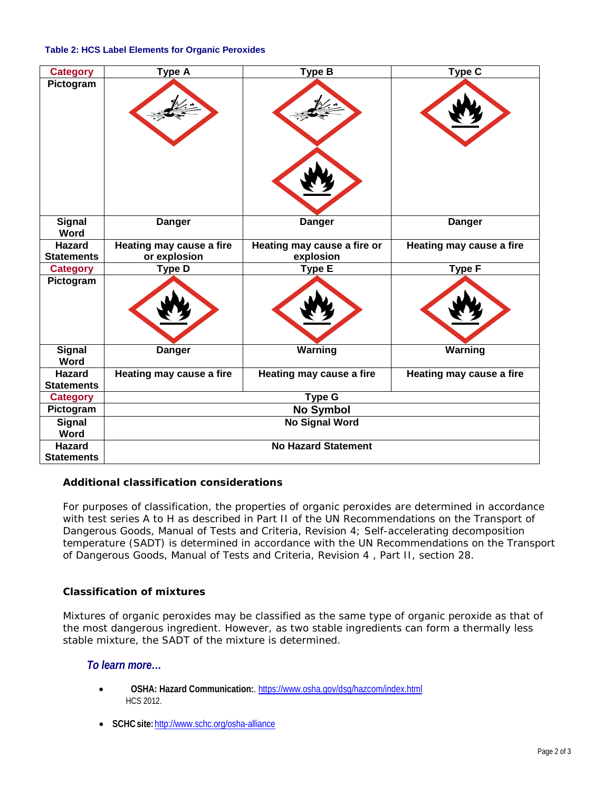#### **Table 2: HCS Label Elements for Organic Peroxides**

| <b>Category</b>                    | Type A                   | <b>Type B</b>               | Type C                   |
|------------------------------------|--------------------------|-----------------------------|--------------------------|
| Pictogram                          |                          |                             |                          |
| <b>Signal</b><br>Word              | <b>Danger</b>            | <b>Danger</b>               | <b>Danger</b>            |
| <b>Hazard</b>                      | Heating may cause a fire | Heating may cause a fire or | Heating may cause a fire |
| <b>Statements</b>                  | or explosion             | explosion                   |                          |
| <b>Category</b>                    | <b>Type D</b>            | <b>Type E</b>               | <b>Type F</b>            |
| Pictogram                          |                          |                             |                          |
| <b>Signal</b><br>Word              | <b>Danger</b>            | Warning                     | Warning                  |
| <b>Hazard</b><br><b>Statements</b> | Heating may cause a fire | Heating may cause a fire    | Heating may cause a fire |
| <b>Category</b>                    | <b>Type G</b>            |                             |                          |
| Pictogram                          | <b>No Symbol</b>         |                             |                          |
| <b>Signal</b><br>Word              | <b>No Signal Word</b>    |                             |                          |
| <b>Hazard</b><br><b>Statements</b> |                          | <b>No Hazard Statement</b>  |                          |

### **Additional classification considerations**

For purposes of classification, the properties of organic peroxides are determined in accordance with test series A to H as described in Part II of the UN Recommendations on the Transport of Dangerous Goods, Manual of Tests and Criteria, Revision 4; Self-accelerating decomposition temperature (SADT) is determined in accordance with the UN Recommendations on the Transport of Dangerous Goods, Manual of Tests and Criteria, Revision 4 , Part II, section 28.

### **Classification of mixtures**

Mixtures of organic peroxides may be classified as the same type of organic peroxide as that of the most dangerous ingredient. However, as two stable ingredients can form a thermally less stable mixture, the SADT of the mixture is determined.

### *To learn more…*

- **OSHA: Hazard Communication:**[. https://www.osha.gov/dsg/hazcom/index.html](https://www.osha.gov/dsg/hazcom/index.html) HCS 2012.
- **SCHCsite:**<http://www.schc.org/osha-alliance>